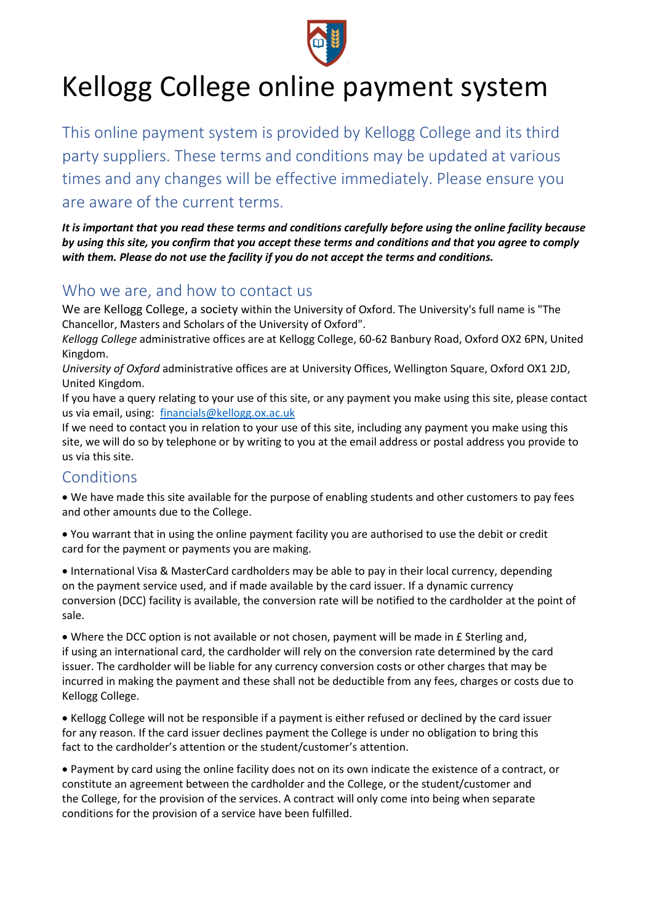

# Kellogg College online payment system

This online payment system is provided by Kellogg College and its third party suppliers. These terms and conditions may be updated at various times and any changes will be effective immediately. Please ensure you are aware of the current terms.

*It is important that you read these terms and conditions carefully before using the online facility because by using this site, you confirm that you accept these terms and conditions and that you agree to comply with them. Please do not use the facility if you do not accept the terms and conditions.*

## Who we are, and how to contact us

We are Kellogg College, a society within the University of Oxford. The University's full name is "The Chancellor, Masters and Scholars of the University of Oxford".

*Kellogg College* administrative offices are at Kellogg College, 60-62 Banbury Road, Oxford OX2 6PN, United Kingdom.

*University of Oxford* administrative offices are at University Offices, Wellington Square, Oxford OX1 2JD, United Kingdom.

If you have a query relating to your use of this site, or any payment you make using this site, please contact us via email, using: [financials@kellogg.ox.ac.uk](mailto:financials@kellogg.ox.ac.uk)

If we need to contact you in relation to your use of this site, including any payment you make using this site, we will do so by telephone or by writing to you at the email address or postal address you provide to us via this site.

# **Conditions**

• We have made this site available for the purpose of enabling students and other customers to pay fees and other amounts due to the College.

• You warrant that in using the online payment facility you are authorised to use the debit or credit card for the payment or payments you are making.

• International Visa & MasterCard cardholders may be able to pay in their local currency, depending on the payment service used, and if made available by the card issuer. If a dynamic currency conversion (DCC) facility is available, the conversion rate will be notified to the cardholder at the point of sale.

• Where the DCC option is not available or not chosen, payment will be made in £ Sterling and, if using an international card, the cardholder will rely on the conversion rate determined by the card issuer. The cardholder will be liable for any currency conversion costs or other charges that may be incurred in making the payment and these shall not be deductible from any fees, charges or costs due to Kellogg College.

• Kellogg College will not be responsible if a payment is either refused or declined by the card issuer for any reason. If the card issuer declines payment the College is under no obligation to bring this fact to the cardholder's attention or the student/customer's attention.

• Payment by card using the online facility does not on its own indicate the existence of a contract, or constitute an agreement between the cardholder and the College, or the student/customer and the College, for the provision of the services. A contract will only come into being when separate conditions for the provision of a service have been fulfilled.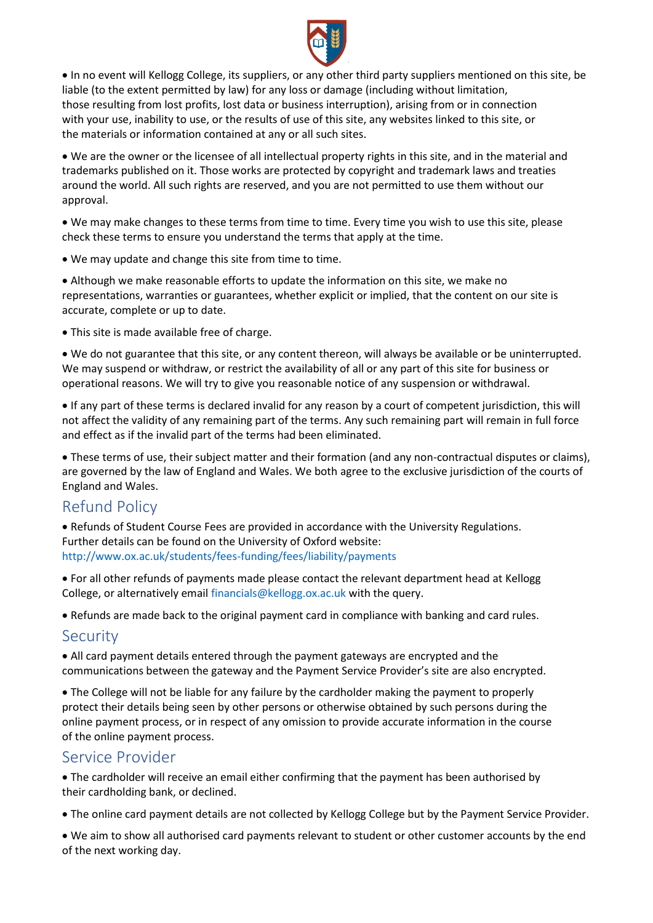

• In no event will Kellogg College, its suppliers, or any other third party suppliers mentioned on this site, be liable (to the extent permitted by law) for any loss or damage (including without limitation, those resulting from lost profits, lost data or business interruption), arising from or in connection with your use, inability to use, or the results of use of this site, any websites linked to this site, or the materials or information contained at any or all such sites.

• We are the owner or the licensee of all intellectual property rights in this site, and in the material and trademarks published on it. Those works are protected by copyright and trademark laws and treaties around the world. All such rights are reserved, and you are not permitted to use them without our approval.

• We may make changes to these terms from time to time. Every time you wish to use this site, please check these terms to ensure you understand the terms that apply at the time.

• We may update and change this site from time to time.

• Although we make reasonable efforts to update the information on this site, we make no representations, warranties or guarantees, whether explicit or implied, that the content on our site is accurate, complete or up to date.

• This site is made available free of charge.

• We do not guarantee that this site, or any content thereon, will always be available or be uninterrupted. We may suspend or withdraw, or restrict the availability of all or any part of this site for business or operational reasons. We will try to give you reasonable notice of any suspension or withdrawal.

• If any part of these terms is declared invalid for any reason by a court of competent jurisdiction, this will not affect the validity of any remaining part of the terms. Any such remaining part will remain in full force and effect as if the invalid part of the terms had been eliminated.

• These terms of use, their subject matter and their formation (and any non-contractual disputes or claims), are governed by the law of England and Wales. We both agree to the exclusive jurisdiction of the courts of England and Wales.

# Refund Policy

• Refunds of Student Course Fees are provided in accordance with the University Regulations. Further details can be found on the University of Oxford website: http://www.ox.ac.uk/students/fees-funding/fees/liability/payments

• For all other refunds of payments made please contact the relevant department head at Kellogg College, or alternatively email financials@kellogg.ox.ac.uk with the query.

• Refunds are made back to the original payment card in compliance with banking and card rules.

#### **Security**

• All card payment details entered through the payment gateways are encrypted and the communications between the gateway and the Payment Service Provider's site are also encrypted.

• The College will not be liable for any failure by the cardholder making the payment to properly protect their details being seen by other persons or otherwise obtained by such persons during the online payment process, or in respect of any omission to provide accurate information in the course of the online payment process.

## Service Provider

• The cardholder will receive an email either confirming that the payment has been authorised by their cardholding bank, or declined.

• The online card payment details are not collected by Kellogg College but by the Payment Service Provider.

• We aim to show all authorised card payments relevant to student or other customer accounts by the end of the next working day.